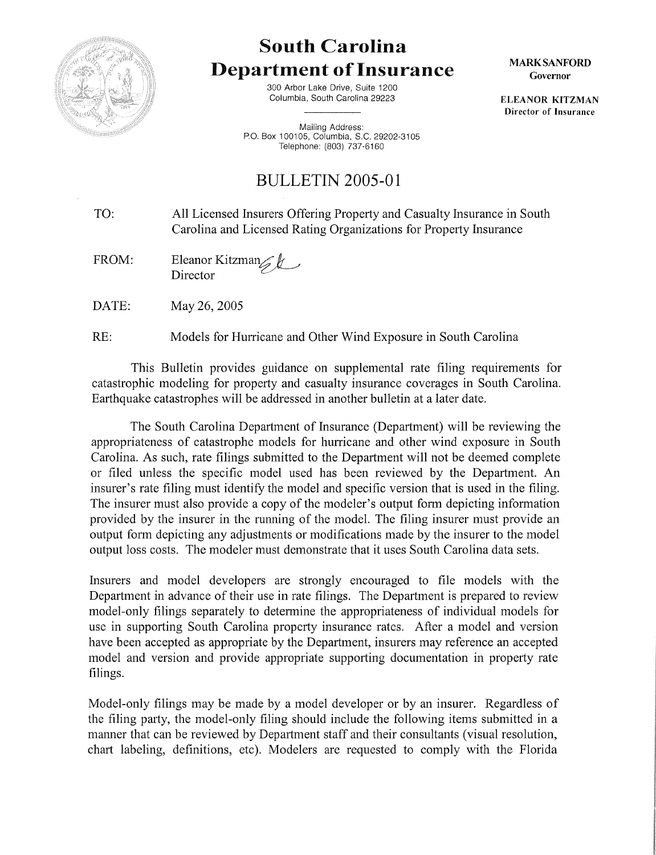

## South Carolina Department of Insurance

300 Arbor Lake Drive, Suite 1200 Columbia, South Carolina 29223

Mailing Address: P.O. Box 100105, Columbia, S.C. 29202-3105 Telephone: (803) 737-6160

## BULLETIN 2005-01

TO: All Licensed Insurers Offering Property and Casualty Insurance in South Carolina and Licensed Rating Organizations for Property Insurance

FROM: Eleanor Kitzman Director

DATE: May 26,2005

RE: Models for Hurricane and Other Wind Exposure in South Carolina

This Bulletin provides guidance on supplemental rate filing requirements for catastrophic modeling for property and casualty insurance coverages in South Carolina. Earthquake catastrophes will be addressed in another bulletin at a later date.

The South Carolina Department of Insurance (Department) will be reviewing the appropriateness of catastrophe models for hurricane and other wind exposure in South Carolina. As such, rate filings submitted to the Department will not be deemed complete or filed unless the specific model used has been reviewed by the Department. An insurer's rate filing must identify the model and specific version that is used in the filing. The insurer must also provide a copy of the modeler's output form depicting information provided by the insurer in the running of the model. The filing insurer must provide an output form depicting any adjustments or modifications made by the insurer to the model output loss costs. The modeler must demonstrate that it uses South Carolina data sets.

Insurers and model developers are strongly encouraged to file models with the Department in advance of their use in rate filings. The Department is prepared to review model-only filings separately to determine the appropriateness of individual models for use in supporting South Carolina property insurance rates. After a model and version have been accepted as appropriate by the Department, insurers may reference an accepted model and version and provide appropriate supporting documentation in property rate filings.

Model-only filings may be made by a model developer or by an insurer. Regardless of the filing party, the model-only filing should include the following items submitted in a manner that can be reviewed by Department staff and their consultants (visual resolution, chart labeling, definitions, etc). Modelers are requested to comply with the Florida

MARK SANFORD Governor

ELEANOR KITZMAN Director of Insurance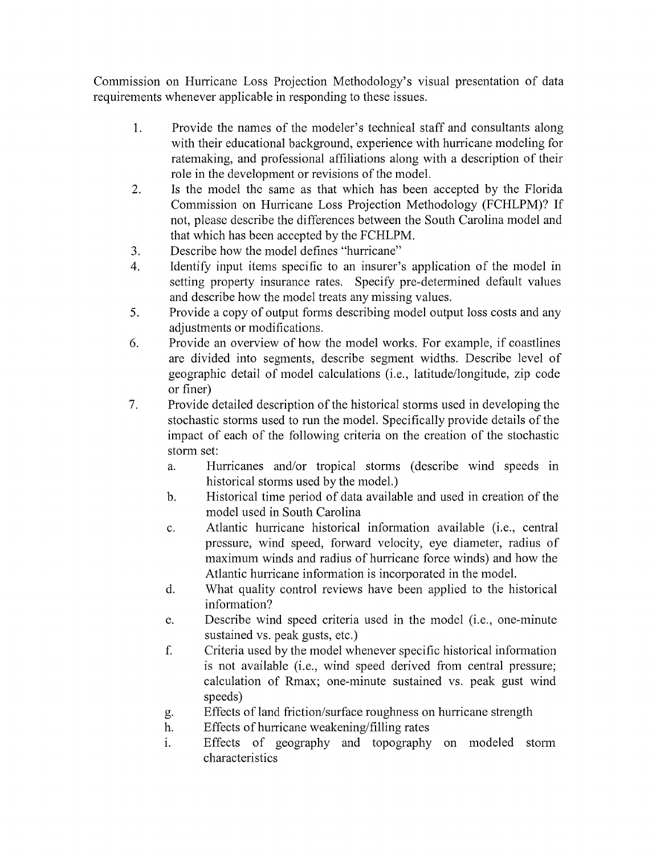Commission on Hurricane Loss Projection Methodology's visual presentation of data requirements whenever applicable in responding to these issues.

- 1. Provide the names of the modeler's technical staff and consultants along with their educational background, experience with hurricane modeling for ratemaking, and professional affiliations along with a description of their role in the development or revisions of the model.
- 2. Is the model the same as that which has been accepted by the Florida Commission on Hurricane Loss Projection Methodology (FCHLPM)? If not, please describe the differences between the South Carolina model and that which has been accepted by the FCHLPM.
- 3. Describe how the model defines "hurricane"
- 4. Identify input items specific to an insurer's application of the model in setting property insurance rates. Specify pre-determined default values and describe how the model treats any missing values.
- 5. Provide a copy of output forms describing model output loss costs and any adjustments or modifications.
- 6. Provide an overview of how the model works. For example, if coastlines are divided into segments, describe segment widths. Describe level of geographic detail of model calculations (i.e., latitude/longitude, zip code or finer)
- 7. Provide detailed description of the historical storms used in developing the stochastic storms used to run the model. Specifically provide details of the impact of each of the following criteria on the creation of the stochastic storm set:
	- a. Hurricanes and/or tropical storms (describe wind speeds in historical storms used by the model.)
	- b. Historical time period of data available and used in creation of the model used in South Carolina
	- c. Atlantic hurricane historical information available (i.e., central pressure, wind speed, forward velocity, eye diameter, radius of maximum winds and radius of hurricane force winds) and how the Atlantic hurricane information is incorporated in the model.
	- d. What quality control reviews have been applied to the historical information?
	- e. Describe wind speed criteria used in the model (i.e., one-minute sustained vs. peak gusts, etc.)
	- f. Criteria used by the model whenever specific historical information is not available (i.e., wind speed derived from central pressure; calculation of Rmax; one-minute sustained vs. peak gust wind speeds)
	- g. Effects of land friction/surface roughness on hurricane strength
	- h. Effects of hurricane weakening/filling rates
	- 1. Effects of geography and topography on modeled storm characteristics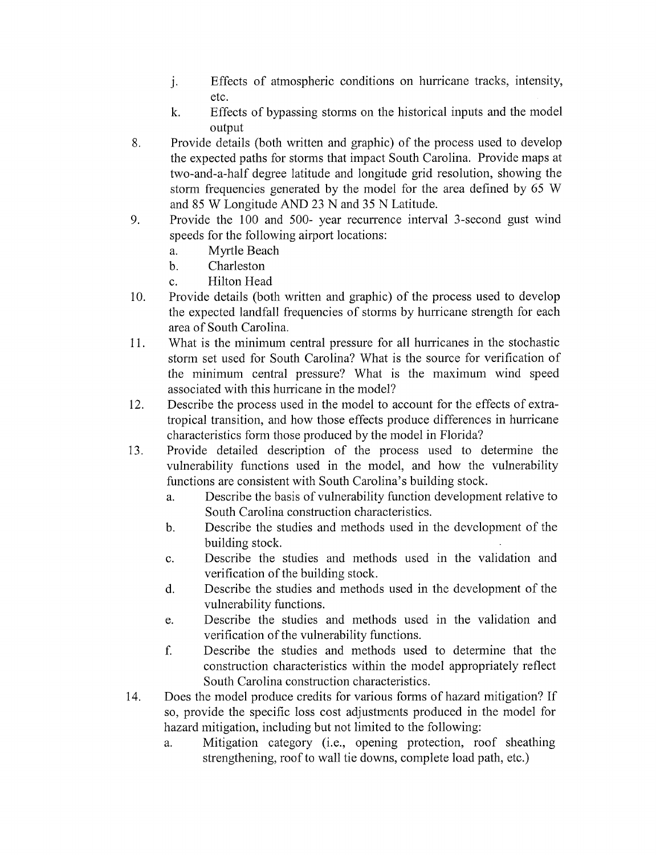- J. Effects of atmospheric conditions on hurricane tracks, intensity, etc.
- k. Effects of bypassing storms on the historical inputs and the model output
- 8. Provide details (both written and graphic) of the process used to develop the expected paths for storms that impact South Carolina. Provide maps at two-and-a-half degree latitude and longitude grid resolution, showing the storm frequencies generated by the model for the area defined by 65 W and 85 W Longitude AND 23 N and 35 N Latitude.
- 9. Provide the 100 and 500- year recurrence interval 3-second gust wind speeds for the following airport locations:
	- a. Myrtle Beach
	- b. Charleston
	- c. Hilton Head
- 10. Provide details (both written and graphic) of the process used to develop the expected landfall frequencies of storms by hurricane strength for each area of South Carolina.
- 11. What is the minimum central pressure for all hurricanes in the stochastic storm set used for South Carolina? What is the source for verification of the minimum central pressure? What is the maximum wind speed associated with this hurricane in the model?
- 12. Describe the process used in the model to account for the effects of extratropical transition, and how those effects produce differences in hurricane characteristics form those produced by the model in Florida?
- 13. Provide detailed description of the process used to determine the vulnerability functions used in the model, and how the vulnerability functions are consistent with South Carolina's building stock.
	- a. Describe the basis of vulnerability function development relative to South Carolina construction characteristics.
	- b. Describe the studies and methods used in the development of the building stock.
	- c. Describe the studies and methods used in the validation and verification of the building stock.
	- d. Describe the studies and methods used in the development of the vulnerability functions.
	- e. Describe the studies and methods used in the validation and verification of the vulnerability functions.
	- f. Describe the studies and methods used to determine that the construction characteristics within the model appropriately reflect South Carolina construction characteristics.
- 14. Does the model produce credits for various forms of hazard mitigation? If so, provide the specific loss cost adjustments produced in the model for hazard mitigation, including but not limited to the following:
	- a. Mitigation category (i.e., opening protection, roof sheathing strengthening, roof to wall tie downs, complete load path, etc.)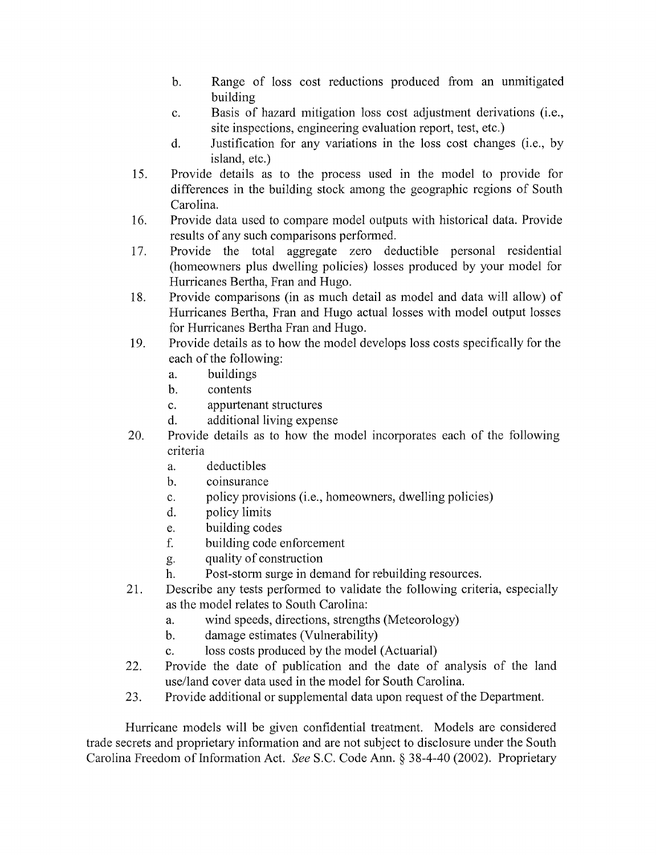- b. Range of loss cost reductions produced from an unmitigated building
- c. Basis of hazard mitigation loss cost adjustment derivations (i.e., site inspections, engineering evaluation report, test, etc.)
- d. Justification for any variations in the loss cost changes (i.e., by island, etc.)
- 15. Provide details as to the process used in the model to provide for differences in the building stock among the geographic regions of South Carolina.
- 16. Provide data used to compare model outputs with historical data. Provide results of any such comparisons performed.
- 17. Provide the total aggregate zero deductible personal residential (homeowners plus dwelling policies) losses produced by your model for Hurricanes Bertha, Fran and Hugo.
- 18. Provide comparisons (in as much detail as model and data will allow) of Hurricanes Bertha, Fran and Hugo actual losses with model output losses for Hurricanes Bertha Fran and Hugo.
- 19. Provide details as to how the model develops loss costs specifically for the each of the following:
	- a. buildings
	- b. contents
	- c. appurtenant structures
	- d. additional living expense
- 20. Provide details as to how the model incorporates each of the following criteria
	- a. deductibles
	- b. coinsurance
	- c. policy provisions (i.e., homeowners, dwelling policies)
	- d. policy limits
	- e. building codes
	- f. building code enforcement
	- g. quality of construction
	- h. Post-storm surge in demand for rebuilding resources.
- 21. Describe any tests performed to validate the following criteria, especially as the model relates to South Carolina:
	- a. wind speeds, directions, strengths (Meteorology)
	- b. damage estimates (Vulnerability)
	- c. loss costs produced by the model (Actuarial)
- 22. Provide the date of publication and the date of analysis of the land use/land cover data used in the model for South Carolina.
- 23. Provide additional or supplemental data upon request of the Department.

Hurricane models will be given confidential treatment. Models are considered trade secrets and proprietary information and are not subject to disclosure under the South Carolina Freedom of Information Act. *See* S.C. Code Ann. § 38-4-40 (2002). Proprietary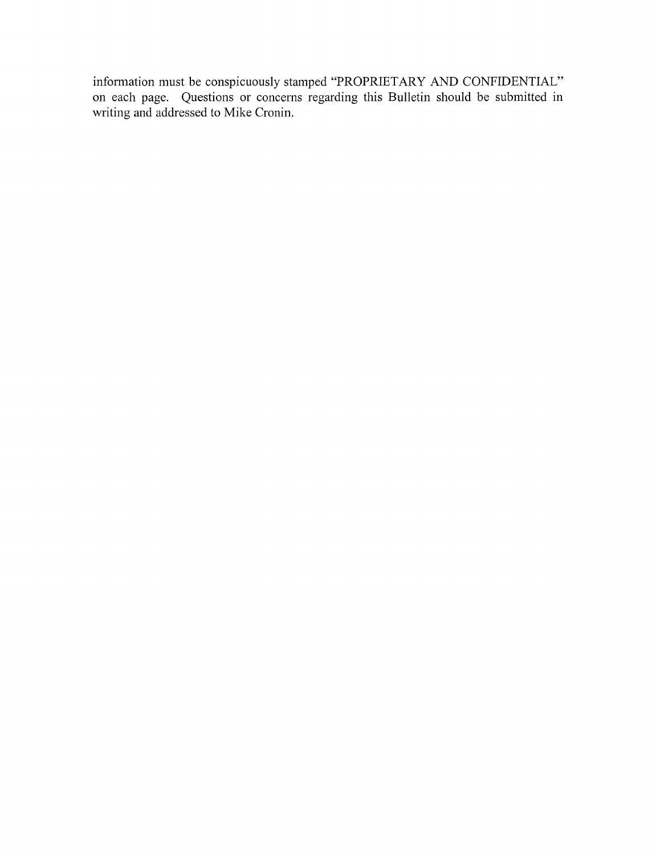information must be conspicuously stamped "PROPRIETARY AND CONFIDENTIAL" on each page. Questions or concerns regarding this Bulletin should be submitted in writing and addressed to Mike Cronin.